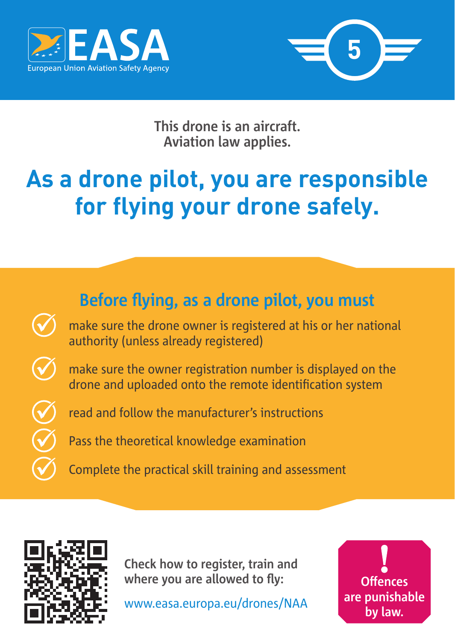



**This drone is an aircraft. Aviation law applies.**

## **As a drone pilot, you are responsible for flying your drone safely.**

## **Before flying, as a drone pilot, you must**

 make sure the drone owner is registered at his or her national authority (unless already registered)

 make sure the owner registration number is displayed on the drone and uploaded onto the remote identification system

read and follow the manufacturer's instructions

Pass the theoretical knowledge examination

Complete the practical skill training and assessment



**Check how to register, train and where you are allowed to fly:**

www.easa.europa.eu/drones/NAA